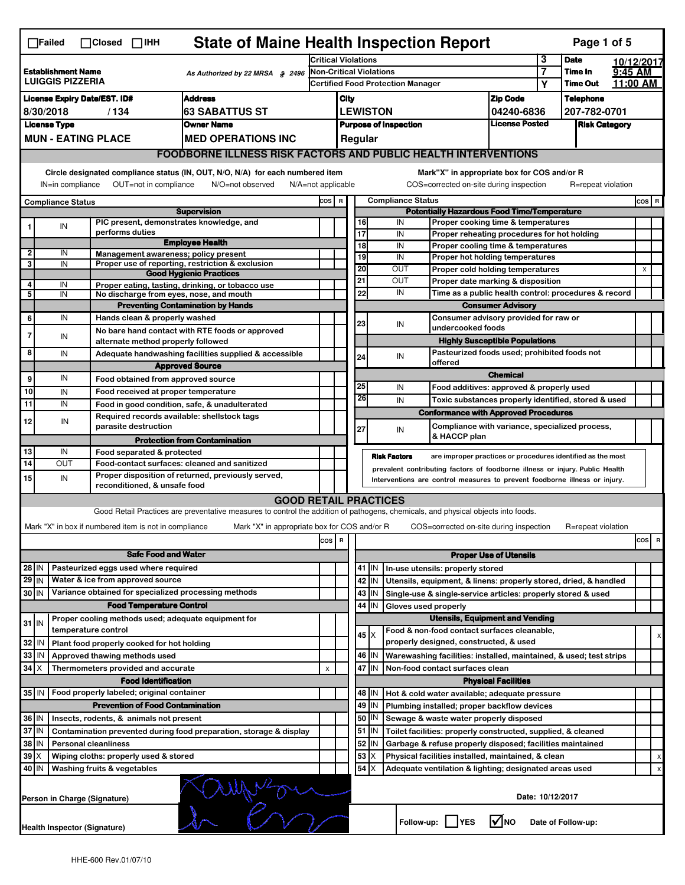| <b>State of Maine Health Inspection Report</b><br>Page 1 of 5<br>$\Box$ Failed<br>$\Box$ Closed $\Box$ IHH |                                                                                                                                                                                                    |                                                       |                                                                                                                                   |                               |                                                       |                                          |                          |                      |                                                                                           |                               |                      |                    |          |                |   |
|------------------------------------------------------------------------------------------------------------|----------------------------------------------------------------------------------------------------------------------------------------------------------------------------------------------------|-------------------------------------------------------|-----------------------------------------------------------------------------------------------------------------------------------|-------------------------------|-------------------------------------------------------|------------------------------------------|--------------------------|----------------------|-------------------------------------------------------------------------------------------|-------------------------------|----------------------|--------------------|----------|----------------|---|
|                                                                                                            |                                                                                                                                                                                                    |                                                       |                                                                                                                                   | <b>Critical Violations</b>    |                                                       |                                          |                          |                      | 3                                                                                         | <b>Date</b>                   | 10/12/2017           |                    |          |                |   |
| <b>Establishment Name</b><br>As Authorized by 22 MRSA § 2496                                               |                                                                                                                                                                                                    |                                                       | Non-Critical Violations<br><b>Certified Food Protection Manager</b>                                                               |                               |                                                       |                                          |                          | 7                    | Time In                                                                                   | 9:45 AM                       |                      |                    |          |                |   |
| <b>LUIGGIS PIZZERIA</b>                                                                                    |                                                                                                                                                                                                    |                                                       |                                                                                                                                   |                               |                                                       |                                          |                          |                      |                                                                                           |                               | Υ                    | <b>Time Out</b>    | 11:00 AM |                |   |
| <b>Address</b><br><b>License Expiry Date/EST. ID#</b>                                                      |                                                                                                                                                                                                    |                                                       |                                                                                                                                   |                               | City                                                  |                                          |                          |                      |                                                                                           | <b>Zip Code</b>               |                      | <b>Telephone</b>   |          |                |   |
| <b>63 SABATTUS ST</b><br>8/30/2018<br>/134                                                                 |                                                                                                                                                                                                    |                                                       |                                                                                                                                   | <b>LEWISTON</b><br>04240-6836 |                                                       |                                          |                          |                      |                                                                                           | 207-782-0701                  |                      |                    |          |                |   |
|                                                                                                            | <b>License Type</b>                                                                                                                                                                                |                                                       | <b>Owner Name</b>                                                                                                                 |                               | <b>License Posted</b><br><b>Purpose of Inspection</b> |                                          |                          |                      |                                                                                           |                               | <b>Risk Category</b> |                    |          |                |   |
|                                                                                                            |                                                                                                                                                                                                    | <b>MUN - EATING PLACE</b>                             | <b>MED OPERATIONS INC</b>                                                                                                         |                               | Regular                                               |                                          |                          |                      |                                                                                           |                               |                      |                    |          |                |   |
|                                                                                                            |                                                                                                                                                                                                    |                                                       | <b>FOODBORNE ILLNESS RISK FACTORS AND PUBLIC HEALTH INTERVENTIONS</b>                                                             |                               |                                                       |                                          |                          |                      |                                                                                           |                               |                      |                    |          |                |   |
|                                                                                                            | Circle designated compliance status (IN, OUT, N/O, N/A) for each numbered item<br>OUT=not in compliance<br>IN=in compliance<br>N/O=not observed<br>N/A=not applicable                              |                                                       |                                                                                                                                   |                               |                                                       |                                          |                          |                      | Mark"X" in appropriate box for COS and/or R<br>COS=corrected on-site during inspection    |                               |                      | R=repeat violation |          |                |   |
|                                                                                                            |                                                                                                                                                                                                    |                                                       |                                                                                                                                   | COS R                         |                                                       |                                          | <b>Compliance Status</b> |                      |                                                                                           |                               |                      |                    |          | $cos$ R        |   |
|                                                                                                            | <b>Compliance Status</b>                                                                                                                                                                           |                                                       | <b>Supervision</b>                                                                                                                |                               |                                                       |                                          |                          |                      | <b>Potentially Hazardous Food Time/Temperature</b>                                        |                               |                      |                    |          |                |   |
|                                                                                                            | IN                                                                                                                                                                                                 | PIC present, demonstrates knowledge, and              |                                                                                                                                   |                               |                                                       |                                          | 16                       | IN                   | Proper cooking time & temperatures                                                        |                               |                      |                    |          |                |   |
|                                                                                                            |                                                                                                                                                                                                    | performs duties                                       |                                                                                                                                   |                               |                                                       |                                          | 17                       | IN                   | Proper reheating procedures for hot holding                                               |                               |                      |                    |          |                |   |
| 2                                                                                                          | IN                                                                                                                                                                                                 | Management awareness; policy present                  | <b>Employee Health</b>                                                                                                            |                               |                                                       |                                          | $\overline{18}$          | IN                   | Proper cooling time & temperatures                                                        |                               |                      |                    |          |                |   |
| 3                                                                                                          | IN                                                                                                                                                                                                 |                                                       | Proper use of reporting, restriction & exclusion                                                                                  |                               |                                                       |                                          | 19                       | IN                   | Proper hot holding temperatures                                                           |                               |                      |                    |          |                |   |
|                                                                                                            |                                                                                                                                                                                                    |                                                       | <b>Good Hygienic Practices</b>                                                                                                    |                               |                                                       |                                          | 20                       | OUT                  | Proper cold holding temperatures                                                          |                               |                      |                    |          | $\pmb{\times}$ |   |
| 4                                                                                                          | IN                                                                                                                                                                                                 |                                                       | Proper eating, tasting, drinking, or tobacco use                                                                                  |                               |                                                       |                                          | 21<br>22                 | OUT<br>IN            | Proper date marking & disposition<br>Time as a public health control: procedures & record |                               |                      |                    |          |                |   |
| 5                                                                                                          | IN                                                                                                                                                                                                 | No discharge from eyes, nose, and mouth               |                                                                                                                                   |                               |                                                       |                                          |                          |                      |                                                                                           | <b>Consumer Advisory</b>      |                      |                    |          |                |   |
|                                                                                                            | IN                                                                                                                                                                                                 | Hands clean & properly washed                         | <b>Preventing Contamination by Hands</b>                                                                                          |                               |                                                       |                                          |                          |                      | Consumer advisory provided for raw or                                                     |                               |                      |                    |          |                |   |
| 6                                                                                                          |                                                                                                                                                                                                    |                                                       | No bare hand contact with RTE foods or approved                                                                                   |                               |                                                       |                                          | 23                       | IN                   | undercooked foods                                                                         |                               |                      |                    |          |                |   |
| $\overline{7}$                                                                                             | IN                                                                                                                                                                                                 | alternate method properly followed                    |                                                                                                                                   |                               |                                                       |                                          |                          |                      | <b>Highly Susceptible Populations</b>                                                     |                               |                      |                    |          |                |   |
| 8                                                                                                          | IN                                                                                                                                                                                                 |                                                       | Adequate handwashing facilities supplied & accessible                                                                             |                               |                                                       |                                          |                          | IN                   | Pasteurized foods used; prohibited foods not                                              |                               |                      |                    |          |                |   |
|                                                                                                            |                                                                                                                                                                                                    |                                                       | <b>Approved Source</b>                                                                                                            |                               |                                                       |                                          | 24                       |                      | offered                                                                                   |                               |                      |                    |          |                |   |
| 9                                                                                                          | IN                                                                                                                                                                                                 | Food obtained from approved source                    |                                                                                                                                   |                               |                                                       |                                          |                          |                      |                                                                                           | <b>Chemical</b>               |                      |                    |          |                |   |
| 10                                                                                                         | IN                                                                                                                                                                                                 | Food received at proper temperature                   |                                                                                                                                   |                               |                                                       |                                          | 25                       | IN                   | Food additives: approved & properly used                                                  |                               |                      |                    |          |                |   |
| 11                                                                                                         | IN                                                                                                                                                                                                 |                                                       | Food in good condition, safe, & unadulterated                                                                                     |                               |                                                       |                                          | 26                       | IN                   | Toxic substances properly identified, stored & used                                       |                               |                      |                    |          |                |   |
|                                                                                                            |                                                                                                                                                                                                    | Required records available: shellstock tags           |                                                                                                                                   |                               |                                                       |                                          |                          |                      | <b>Conformance with Approved Procedures</b>                                               |                               |                      |                    |          |                |   |
| 12                                                                                                         | IN                                                                                                                                                                                                 | parasite destruction                                  |                                                                                                                                   |                               |                                                       |                                          | 27                       | IN                   | Compliance with variance, specialized process,                                            |                               |                      |                    |          |                |   |
|                                                                                                            |                                                                                                                                                                                                    |                                                       | <b>Protection from Contamination</b>                                                                                              |                               |                                                       |                                          |                          |                      | & HACCP plan                                                                              |                               |                      |                    |          |                |   |
| 13                                                                                                         | IN                                                                                                                                                                                                 | Food separated & protected                            |                                                                                                                                   |                               |                                                       |                                          |                          | <b>Risk Factors</b>  |                                                                                           |                               |                      |                    |          |                |   |
| 14                                                                                                         | are improper practices or procedures identified as the most<br>OUT<br>Food-contact surfaces: cleaned and sanitized<br>prevalent contributing factors of foodborne illness or injury. Public Health |                                                       |                                                                                                                                   |                               |                                                       |                                          |                          |                      |                                                                                           |                               |                      |                    |          |                |   |
| 15                                                                                                         | IN                                                                                                                                                                                                 |                                                       | Proper disposition of returned, previously served,                                                                                |                               |                                                       |                                          |                          |                      | Interventions are control measures to prevent foodborne illness or injury.                |                               |                      |                    |          |                |   |
|                                                                                                            |                                                                                                                                                                                                    | reconditioned, & unsafe food                          |                                                                                                                                   |                               |                                                       |                                          |                          |                      |                                                                                           |                               |                      |                    |          |                |   |
|                                                                                                            |                                                                                                                                                                                                    |                                                       | <b>GOOD RETAIL PRACTICES</b>                                                                                                      |                               |                                                       |                                          |                          |                      |                                                                                           |                               |                      |                    |          |                |   |
|                                                                                                            |                                                                                                                                                                                                    |                                                       | Good Retail Practices are preventative measures to control the addition of pathogens, chemicals, and physical objects into foods. |                               |                                                       |                                          |                          |                      |                                                                                           |                               |                      |                    |          |                |   |
|                                                                                                            |                                                                                                                                                                                                    | Mark "X" in box if numbered item is not in compliance | Mark "X" in appropriate box for COS and/or R                                                                                      |                               |                                                       |                                          |                          |                      | COS=corrected on-site during inspection                                                   |                               |                      | R=repeat violation |          |                |   |
|                                                                                                            |                                                                                                                                                                                                    |                                                       |                                                                                                                                   | $\cos$                        | R                                                     |                                          |                          |                      |                                                                                           |                               |                      |                    |          | cos            | R |
|                                                                                                            |                                                                                                                                                                                                    | <b>Safe Food and Water</b>                            |                                                                                                                                   |                               |                                                       |                                          |                          |                      |                                                                                           | <b>Proper Use of Utensils</b> |                      |                    |          |                |   |
| 28 IN                                                                                                      |                                                                                                                                                                                                    | Pasteurized eggs used where required                  |                                                                                                                                   |                               |                                                       |                                          | $41$ M                   |                      | In-use utensils: properly stored                                                          |                               |                      |                    |          |                |   |
| $29$ IN                                                                                                    |                                                                                                                                                                                                    | Water & ice from approved source                      |                                                                                                                                   |                               |                                                       |                                          | 42   IN                  |                      | Utensils, equipment, & linens: properly stored, dried, & handled                          |                               |                      |                    |          |                |   |
| 30 IN                                                                                                      |                                                                                                                                                                                                    | Variance obtained for specialized processing methods  |                                                                                                                                   |                               |                                                       |                                          | $43$ IN                  |                      | Single-use & single-service articles: properly stored & used                              |                               |                      |                    |          |                |   |
|                                                                                                            |                                                                                                                                                                                                    | <b>Food Temperature Control</b>                       |                                                                                                                                   |                               |                                                       |                                          | 44<br>ΙIΝ                | Gloves used properly |                                                                                           |                               |                      |                    |          |                |   |
| $31$ IN                                                                                                    |                                                                                                                                                                                                    | Proper cooling methods used; adequate equipment for   |                                                                                                                                   |                               |                                                       |                                          |                          |                      | <b>Utensils, Equipment and Vending</b>                                                    |                               |                      |                    |          |                |   |
|                                                                                                            |                                                                                                                                                                                                    | temperature control                                   |                                                                                                                                   |                               |                                                       |                                          | $45 \times$              |                      | Food & non-food contact surfaces cleanable,                                               |                               |                      |                    |          |                |   |
| 32                                                                                                         | IN                                                                                                                                                                                                 | Plant food properly cooked for hot holding            |                                                                                                                                   |                               |                                                       |                                          |                          |                      | properly designed, constructed, & used                                                    |                               |                      |                    |          |                |   |
| 33                                                                                                         | IN                                                                                                                                                                                                 | Approved thawing methods used                         |                                                                                                                                   |                               |                                                       |                                          | 46   IN                  |                      | Warewashing facilities: installed, maintained, & used; test strips                        |                               |                      |                    |          |                |   |
| 34                                                                                                         | $\boldsymbol{X}$                                                                                                                                                                                   | Thermometers provided and accurate                    |                                                                                                                                   | $\pmb{\times}$                |                                                       | 47 IN<br>Non-food contact surfaces clean |                          |                      |                                                                                           |                               |                      |                    |          |                |   |
|                                                                                                            |                                                                                                                                                                                                    | <b>Food Identification</b>                            |                                                                                                                                   |                               |                                                       |                                          |                          |                      |                                                                                           | <b>Physical Facilities</b>    |                      |                    |          |                |   |
| 35 IN                                                                                                      |                                                                                                                                                                                                    | Food properly labeled; original container             |                                                                                                                                   |                               |                                                       |                                          | 48   IN                  |                      | Hot & cold water available; adequate pressure                                             |                               |                      |                    |          |                |   |
|                                                                                                            |                                                                                                                                                                                                    | <b>Prevention of Food Contamination</b>               |                                                                                                                                   |                               |                                                       |                                          | $49$ IN                  |                      | Plumbing installed; proper backflow devices                                               |                               |                      |                    |          |                |   |
| 36 IN                                                                                                      |                                                                                                                                                                                                    | Insects, rodents, & animals not present               |                                                                                                                                   |                               |                                                       |                                          | 50   IN                  |                      | Sewage & waste water properly disposed                                                    |                               |                      |                    |          |                |   |
|                                                                                                            | 37 IN<br>Contamination prevented during food preparation, storage & display                                                                                                                        |                                                       |                                                                                                                                   |                               |                                                       |                                          | $51$ $\vert$ IN          |                      | Toilet facilities: properly constructed, supplied, & cleaned                              |                               |                      |                    |          |                |   |
| 38                                                                                                         | IN<br><b>Personal cleanliness</b>                                                                                                                                                                  |                                                       |                                                                                                                                   |                               |                                                       |                                          | 52<br>IN                 |                      | Garbage & refuse properly disposed; facilities maintained                                 |                               |                      |                    |          |                |   |
| 39                                                                                                         | ΙX                                                                                                                                                                                                 | Wiping cloths: properly used & stored                 |                                                                                                                                   |                               |                                                       |                                          | 53<br>X                  |                      | Physical facilities installed, maintained, & clean                                        |                               |                      |                    |          |                |   |
| 40                                                                                                         | ΙM                                                                                                                                                                                                 | Washing fruits & vegetables                           |                                                                                                                                   |                               |                                                       |                                          | 54                       |                      | Adequate ventilation & lighting; designated areas used                                    |                               |                      |                    |          |                |   |
|                                                                                                            | Date: 10/12/2017<br>Person in Charge (Signature)                                                                                                                                                   |                                                       |                                                                                                                                   |                               |                                                       |                                          |                          |                      |                                                                                           |                               |                      |                    |          |                |   |
|                                                                                                            | l√lno<br>Follow-up:  <br><b>YES</b><br>Date of Follow-up:<br><b>Health Inspector (Signature)</b>                                                                                                   |                                                       |                                                                                                                                   |                               |                                                       |                                          |                          |                      |                                                                                           |                               |                      |                    |          |                |   |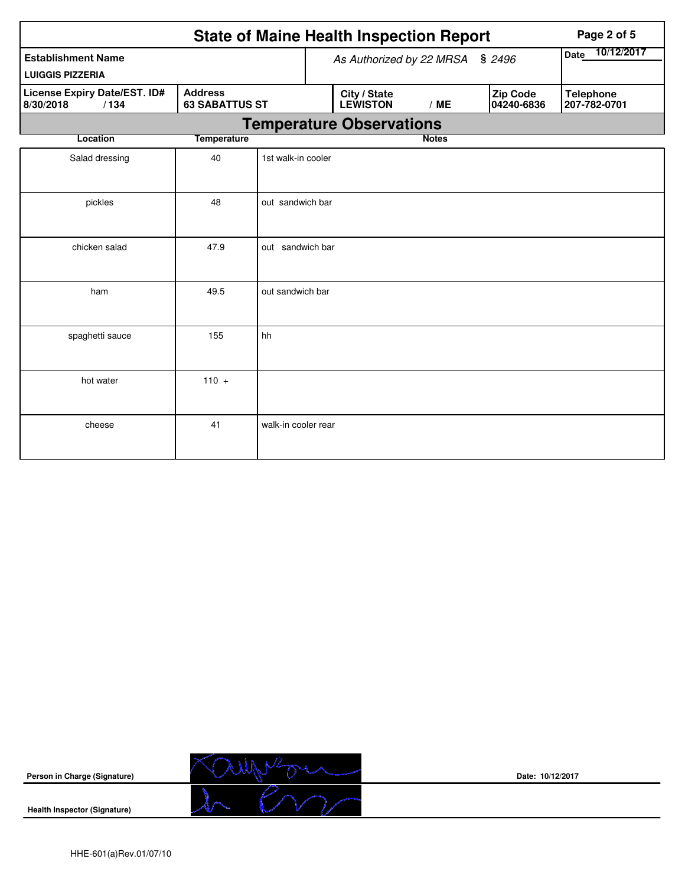|                                                      |                                         |                     | <b>State of Maine Health Inspection Report</b> | Page 2 of 5     |                               |                                  |
|------------------------------------------------------|-----------------------------------------|---------------------|------------------------------------------------|-----------------|-------------------------------|----------------------------------|
| <b>Establishment Name</b><br><b>LUIGGIS PIZZERIA</b> |                                         |                     | As Authorized by 22 MRSA § 2496                | Date 10/12/2017 |                               |                                  |
| License Expiry Date/EST. ID#<br>8/30/2018<br>/134    | <b>Address</b><br><b>63 SABATTUS ST</b> |                     | City / State<br><b>LEWISTON</b>                | /ME             | <b>Zip Code</b><br>04240-6836 | <b>Telephone</b><br>207-782-0701 |
|                                                      |                                         |                     | <b>Temperature Observations</b>                |                 |                               |                                  |
| Location                                             | <b>Temperature</b>                      |                     |                                                | <b>Notes</b>    |                               |                                  |
| Salad dressing                                       | 40                                      | 1st walk-in cooler  |                                                |                 |                               |                                  |
| pickles                                              | 48                                      | out sandwich bar    |                                                |                 |                               |                                  |
| chicken salad                                        | 47.9                                    | out sandwich bar    |                                                |                 |                               |                                  |
| ham                                                  | 49.5                                    | out sandwich bar    |                                                |                 |                               |                                  |
| spaghetti sauce                                      | 155                                     | hh                  |                                                |                 |                               |                                  |
| hot water                                            | $110 +$                                 |                     |                                                |                 |                               |                                  |
| cheese                                               | 41                                      | walk-in cooler rear |                                                |                 |                               |                                  |



**Date: 10/12/2017**

**Health Inspector (Signature)**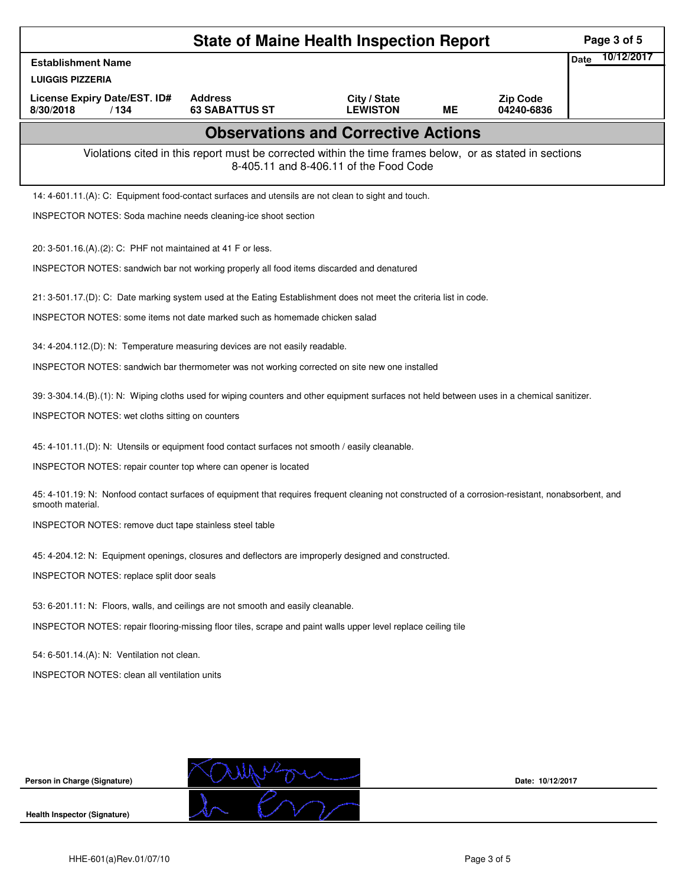| <b>State of Maine Health Inspection Report</b><br>Page 3 of 5                                                                                                          |                                                                                                          |                                            |    |                               |             |            |  |  |
|------------------------------------------------------------------------------------------------------------------------------------------------------------------------|----------------------------------------------------------------------------------------------------------|--------------------------------------------|----|-------------------------------|-------------|------------|--|--|
| <b>Establishment Name</b>                                                                                                                                              |                                                                                                          |                                            |    |                               | <b>Date</b> | 10/12/2017 |  |  |
| <b>LUIGGIS PIZZERIA</b>                                                                                                                                                |                                                                                                          |                                            |    |                               |             |            |  |  |
| License Expiry Date/EST. ID#<br>8/30/2018<br>/134                                                                                                                      | <b>Address</b><br><b>63 SABATTUS ST</b>                                                                  | City / State<br><b>LEWISTON</b>            | МE | <b>Zip Code</b><br>04240-6836 |             |            |  |  |
|                                                                                                                                                                        |                                                                                                          | <b>Observations and Corrective Actions</b> |    |                               |             |            |  |  |
|                                                                                                                                                                        | Violations cited in this report must be corrected within the time frames below, or as stated in sections | 8-405.11 and 8-406.11 of the Food Code     |    |                               |             |            |  |  |
| 14: 4-601.11.(A): C: Equipment food-contact surfaces and utensils are not clean to sight and touch.                                                                    |                                                                                                          |                                            |    |                               |             |            |  |  |
| INSPECTOR NOTES: Soda machine needs cleaning-ice shoot section                                                                                                         |                                                                                                          |                                            |    |                               |             |            |  |  |
| 20: 3-501.16.(A).(2): C: PHF not maintained at 41 F or less.                                                                                                           |                                                                                                          |                                            |    |                               |             |            |  |  |
| INSPECTOR NOTES: sandwich bar not working properly all food items discarded and denatured                                                                              |                                                                                                          |                                            |    |                               |             |            |  |  |
| 21: 3-501.17.(D): C: Date marking system used at the Eating Establishment does not meet the criteria list in code.                                                     |                                                                                                          |                                            |    |                               |             |            |  |  |
| INSPECTOR NOTES: some items not date marked such as homemade chicken salad                                                                                             |                                                                                                          |                                            |    |                               |             |            |  |  |
| 34: 4-204.112.(D): N: Temperature measuring devices are not easily readable.                                                                                           |                                                                                                          |                                            |    |                               |             |            |  |  |
| INSPECTOR NOTES: sandwich bar thermometer was not working corrected on site new one installed                                                                          |                                                                                                          |                                            |    |                               |             |            |  |  |
| 39: 3-304.14.(B).(1): N: Wiping cloths used for wiping counters and other equipment surfaces not held between uses in a chemical sanitizer.                            |                                                                                                          |                                            |    |                               |             |            |  |  |
| INSPECTOR NOTES: wet cloths sitting on counters                                                                                                                        |                                                                                                          |                                            |    |                               |             |            |  |  |
| 45: 4-101.11.(D): N: Utensils or equipment food contact surfaces not smooth / easily cleanable.                                                                        |                                                                                                          |                                            |    |                               |             |            |  |  |
| INSPECTOR NOTES: repair counter top where can opener is located                                                                                                        |                                                                                                          |                                            |    |                               |             |            |  |  |
| 45: 4-101.19: N: Nonfood contact surfaces of equipment that requires frequent cleaning not constructed of a corrosion-resistant, nonabsorbent, and<br>smooth material. |                                                                                                          |                                            |    |                               |             |            |  |  |
| INSPECTOR NOTES: remove duct tape stainless steel table                                                                                                                |                                                                                                          |                                            |    |                               |             |            |  |  |
| 45: 4-204.12: N: Equipment openings, closures and deflectors are improperly designed and constructed.                                                                  |                                                                                                          |                                            |    |                               |             |            |  |  |
| INSPECTOR NOTES: replace split door seals                                                                                                                              |                                                                                                          |                                            |    |                               |             |            |  |  |
| 53: 6-201.11: N: Floors, walls, and ceilings are not smooth and easily cleanable.                                                                                      |                                                                                                          |                                            |    |                               |             |            |  |  |
| INSPECTOR NOTES: repair flooring-missing floor tiles, scrape and paint walls upper level replace ceiling tile                                                          |                                                                                                          |                                            |    |                               |             |            |  |  |
| 54: 6-501.14.(A): N: Ventilation not clean.                                                                                                                            |                                                                                                          |                                            |    |                               |             |            |  |  |
| <b>INSPECTOR NOTES: clean all ventilation units</b>                                                                                                                    |                                                                                                          |                                            |    |                               |             |            |  |  |
|                                                                                                                                                                        |                                                                                                          |                                            |    |                               |             |            |  |  |
|                                                                                                                                                                        |                                                                                                          |                                            |    |                               |             |            |  |  |
|                                                                                                                                                                        |                                                                                                          |                                            |    |                               |             |            |  |  |
| Person in Charge (Signature)                                                                                                                                           |                                                                                                          |                                            |    | Date: 10/12/2017              |             |            |  |  |
| <b>Health Inspector (Signature)</b>                                                                                                                                    |                                                                                                          |                                            |    |                               |             |            |  |  |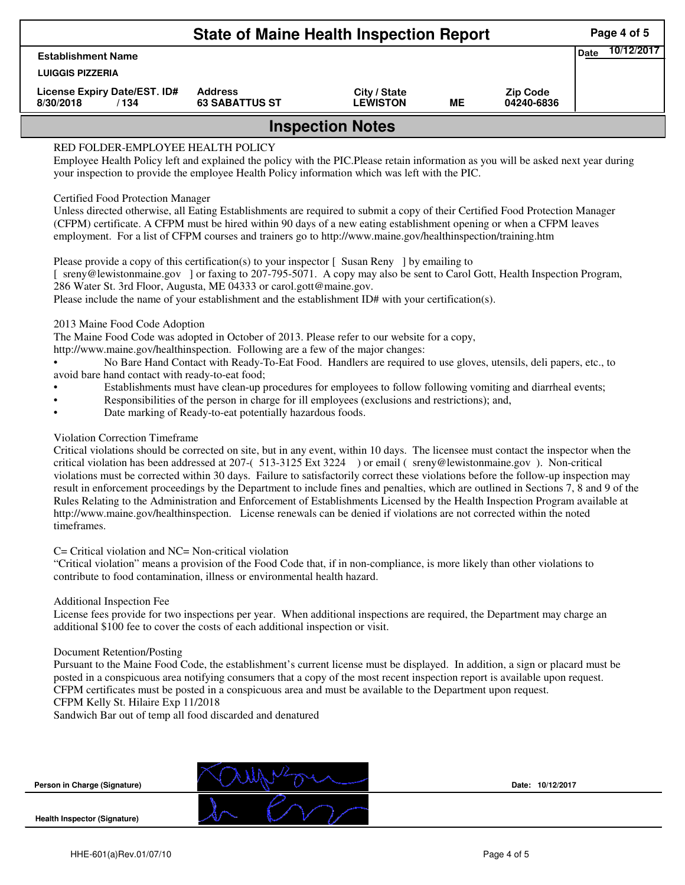| <b>State of Maine Health Inspection Report</b>                                                                                                                                                                                                                            |                                                                                                                               |                                 |    |                               |  |  |  |  |  |  |  |
|---------------------------------------------------------------------------------------------------------------------------------------------------------------------------------------------------------------------------------------------------------------------------|-------------------------------------------------------------------------------------------------------------------------------|---------------------------------|----|-------------------------------|--|--|--|--|--|--|--|
| <b>Establishment Name</b>                                                                                                                                                                                                                                                 | <b>Date</b>                                                                                                                   |                                 |    |                               |  |  |  |  |  |  |  |
| <b>LUIGGIS PIZZERIA</b>                                                                                                                                                                                                                                                   |                                                                                                                               |                                 |    |                               |  |  |  |  |  |  |  |
| License Expiry Date/EST. ID#<br>8/30/2018<br>/134                                                                                                                                                                                                                         | <b>Address</b><br><b>63 SABATTUS ST</b>                                                                                       | City / State<br><b>LEWISTON</b> | ME | <b>Zip Code</b><br>04240-6836 |  |  |  |  |  |  |  |
|                                                                                                                                                                                                                                                                           | <b>Inspection Notes</b>                                                                                                       |                                 |    |                               |  |  |  |  |  |  |  |
| RED FOLDER-EMPLOYEE HEALTH POLICY<br>Employee Health Policy left and explained the policy with the PIC. Please retain information as you will be asked next year during<br>your inspection to provide the employee Health Policy information which was left with the PIC. |                                                                                                                               |                                 |    |                               |  |  |  |  |  |  |  |
| <b>Certified Food Protection Manager</b>                                                                                                                                                                                                                                  |                                                                                                                               |                                 |    |                               |  |  |  |  |  |  |  |
|                                                                                                                                                                                                                                                                           | Unless directed otherwise, all Eating Establishments are required to submit a copy of their Certified Food Protection Manager |                                 |    |                               |  |  |  |  |  |  |  |
|                                                                                                                                                                                                                                                                           | (CFPM) certificate. A CFPM must be hired within 90 days of a new eating establishment opening or when a CFPM leaves           |                                 |    |                               |  |  |  |  |  |  |  |

Please provide a copy of this certification(s) to your inspector [Susan Reny ] by emailing to [ sreny@lewistonmaine.gov ] or faxing to 207-795-5071. A copy may also be sent to Carol Gott, Health Inspection Program, 286 Water St. 3rd Floor, Augusta, ME 04333 or carol.gott@maine.gov.

Please include the name of your establishment and the establishment ID# with your certification(s).

2013 Maine Food Code Adoption

The Maine Food Code was adopted in October of 2013. Please refer to our website for a copy,

http://www.maine.gov/healthinspection. Following are a few of the major changes:

• No Bare Hand Contact with Ready-To-Eat Food. Handlers are required to use gloves, utensils, deli papers, etc., to avoid bare hand contact with ready-to-eat food;

- Establishments must have clean-up procedures for employees to follow following vomiting and diarrheal events;
- Responsibilities of the person in charge for ill employees (exclusions and restrictions); and,
- Date marking of Ready-to-eat potentially hazardous foods.

## Violation Correction Timeframe

Critical violations should be corrected on site, but in any event, within 10 days. The licensee must contact the inspector when the critical violation has been addressed at 207-( 513-3125 Ext 3224 ) or email ( sreny@lewistonmaine.gov ). Non-critical violations must be corrected within 30 days. Failure to satisfactorily correct these violations before the follow-up inspection may result in enforcement proceedings by the Department to include fines and penalties, which are outlined in Sections 7, 8 and 9 of the Rules Relating to the Administration and Enforcement of Establishments Licensed by the Health Inspection Program available at http://www.maine.gov/healthinspection. License renewals can be denied if violations are not corrected within the noted timeframes.

## C= Critical violation and NC= Non-critical violation

"Critical violation" means a provision of the Food Code that, if in non-compliance, is more likely than other violations to contribute to food contamination, illness or environmental health hazard.

## Additional Inspection Fee

License fees provide for two inspections per year. When additional inspections are required, the Department may charge an additional \$100 fee to cover the costs of each additional inspection or visit.

## Document Retention/Posting

Pursuant to the Maine Food Code, the establishment's current license must be displayed. In addition, a sign or placard must be posted in a conspicuous area notifying consumers that a copy of the most recent inspection report is available upon request. CFPM certificates must be posted in a conspicuous area and must be available to the Department upon request. CFPM Kelly St. Hilaire Exp 11/2018

Sandwich Bar out of temp all food discarded and denatured